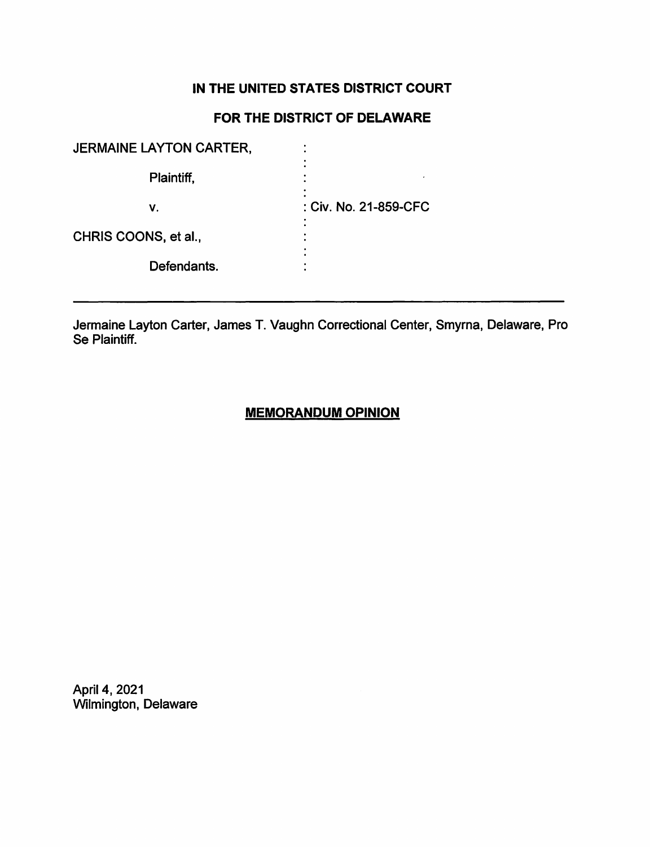# **IN THE UNITED STATES DISTRICT COURT**

# **FOR THE DISTRICT OF DELAWARE**

| <b>JERMAINE LAYTON CARTER,</b> |                       |
|--------------------------------|-----------------------|
| Plaintiff,                     |                       |
| v.                             | : Civ. No. 21-859-CFC |
| CHRIS COONS, et al.,           |                       |
| Defendants.                    |                       |
|                                |                       |

Jermaine Layton Carter, James T. Vaughn Correctional Center, Smyrna, Delaware, Pro Se Plaintiff.

## **MEMORANDUM OPINION**

April 4, 2021 Wilmington, Delaware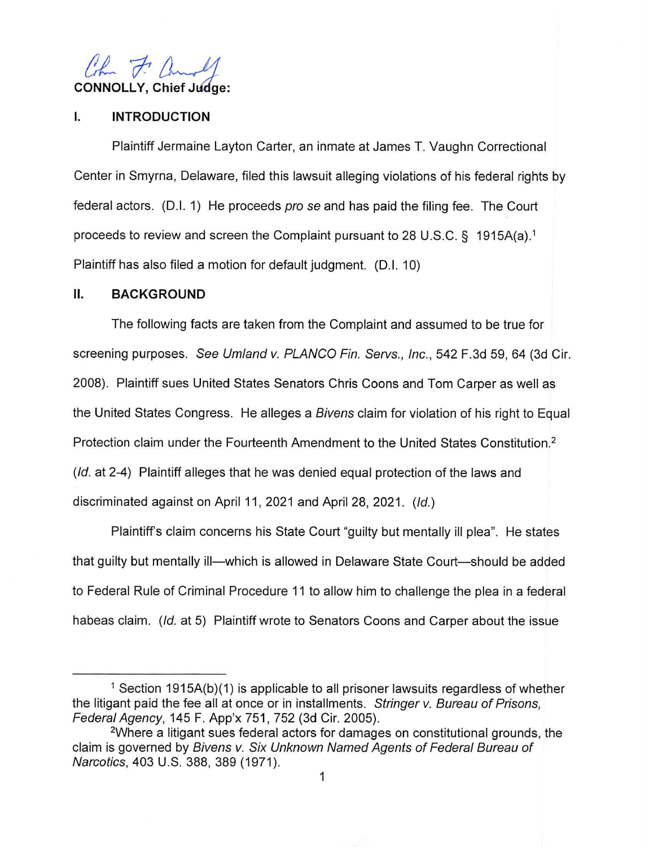

### **I. INTRODUCTION**

Plaintiff Jermaine Layton Carter, an inmate at James T. Vaughn Correctional Center in Smyrna, Delaware, filed this lawsuit alleging violations of his federal rights by federal actors. (D.I. 1) He proceeds pro se and has paid the filing fee. The Court proceeds to review and screen the Complaint pursuant to 28 U.S.C. § 1915A(a).<sup>1</sup> Plaintiff has also filed a motion for default judgment. (D.I. 10)

## **II. BACKGROUND**

The following facts are taken from the Complaint and assumed to be true for screening purposes. See Umland v. PLANCO Fin. Servs., Inc., 542 F.3d 59, 64 (3d Cir. 2008). Plaintiff sues United States Senators Chris Coons and Tom Carper as well as the United States Congress. He alleges a *Bivens* claim for violation of his right to Equal Protection claim under the Fourteenth Amendment to the United States Constitution. 2 (Id. at 2-4) Plaintiff alleges that he was denied equal protection of the laws and discriminated against on April 11 , 2021 and April 28, 2021. (Id.)

Plaintiffs claim concerns his State Court "guilty but mentally ill plea". He states that guilty but mentally ill—which is allowed in Delaware State Court—should be added to Federal Rule of Criminal Procedure 11 to allow him to challenge the plea in a federal habeas claim. (Id. at 5) Plaintiff wrote to Senators Coons and Carper about the issue

<sup>&</sup>lt;sup>1</sup> Section 1915A(b)(1) is applicable to all prisoner lawsuits regardless of whether the litigant paid the fee all at once or in installments. Stringer v. Bureau of Prisons, Federal Agency, 145 F. App'x 751, 752 (3d Cir. 2005). 2Where a litigant sues federal actors for damages on constitutional grounds, the

claim is governed by Bivens v. Six Unknown Named Agents of Federal Bureau of Narcotics, 403 U.S. 388, 389 (1971).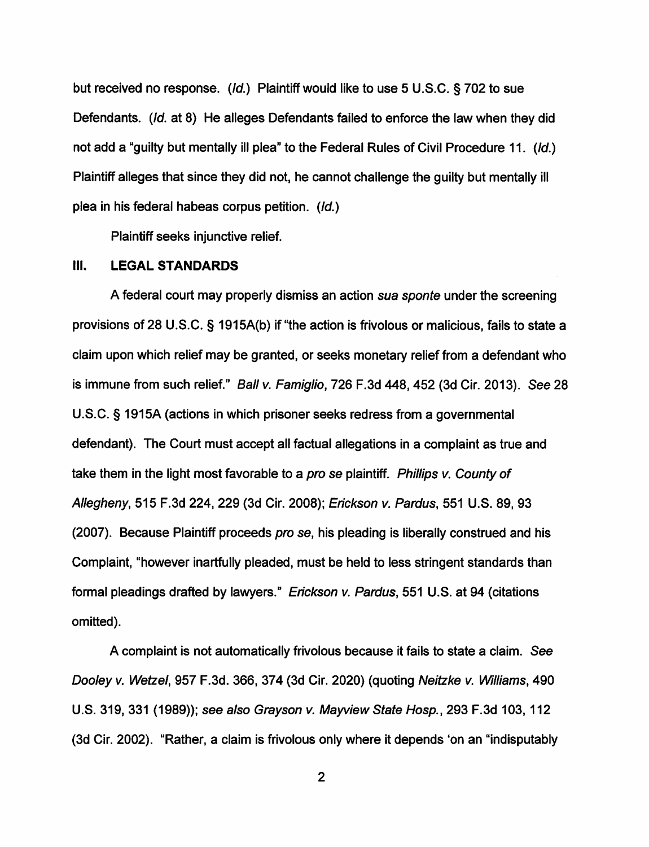but received no response. (Id.) Plaintiff would like to use 5 U.S.C. § 702 to sue Defendants. (Id. at 8) He alleges Defendants failed to enforce the law when they did not add a "guilty but mentally ill plea" to the Federal Rules of Civil Procedure 11. (Id.) Plaintiff alleges that since they did not, he cannot challenge the guilty but mentally ill plea in his federal habeas corpus petition. (Id.)

Plaintiff seeks injunctive relief.

#### Ill. **LEGAL STANDARDS**

A federal court may properly dismiss an action sua sponte under the screening provisions of 28 U.S.C. § 1915A(b) if "the action is frivolous or malicious, fails to state a claim upon which relief may be granted, or seeks monetary relief from a defendant who is immune from such relief." Ball v. Famiglio, 726 F.3d 448,452 (3d Cir. 2013). See 28 U.S.C. § 1915A (actions in which prisoner seeks redress from a governmental defendant). The Court must accept all factual allegations in a complaint as true and take them in the light most favorable to a pro se plaintiff. Phillips v. County of Allegheny, 515 F.3d 224,229 (3d Cir. 2008); Erickson v. Pardus, 551 U.S. 89, 93 (2007). Because Plaintiff proceeds pro se, his pleading is liberally construed and his Complaint, "however inartfully pleaded, must be held to less stringent standards than formal pleadings drafted by lawyers." Erickson v. Pardus, 551 U.S. at 94 (citations omitted).

A complaint is not automatically frivolous because it fails to state a claim. See Dooley v. Wetzel, 957 F.3d. 366, 374 (3d Cir. 2020) (quoting Neitzke v. Williams, 490 U.S. 319, 331 (1989)); see also Grayson v. Mayview State Hosp., 293 F.3d 103, 112 (3d Cir. 2002). "Rather, a claim is frivolous only where it depends 'on an "indisputably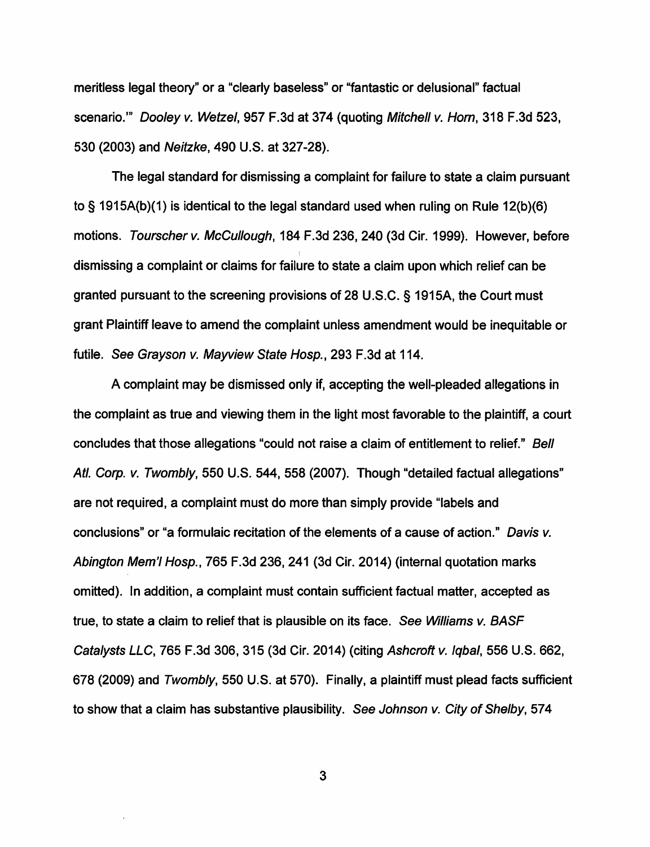meritless legal theory" or a "clearly baseless" or "fantastic or delusional" factual scenario."' Dooley v. Wetzel, 957 F.3d at 374 (quoting Mitchell v. Hom, 318 F.3d 523, 530 (2003) and Neitzke, 490 U.S. at 327-28).

The legal standard for dismissing a complaint for failure to state a claim pursuant to§ 1915A(b)(1) is identical to the legal standard used when ruling on Rule 12(b)(6) motions. Tourscher v. McCullough, 184 F.3d 236,240 (3d Cir. 1999). However, before dismissing a complaint or claims for failure to state a claim upon which relief can be granted pursuant to the screening provisions of 28 U.S.C. § 1915A, the Court must grant Plaintiff leave to amend the complaint unless amendment would be inequitable or futile. See Grayson v. Mayview State Hosp., 293 F.3d at 114.

A complaint may be dismissed only if, accepting the well-pleaded allegations in the complaint as true and viewing them in the light most favorable to the plaintiff, a court concludes that those allegations "could not raise a claim of entitlement to relief." Bell Atl. Corp. v. Twombly, 550 U.S. 544, 558 (2007). Though "detailed factual allegations" are not required, a complaint must do more than simply provide "labels and conclusions" or "a formulaic recitation of the elements of a cause of action." Davis v. Abington Mem'I Hosp., 765 F.3d 236,241 (3d Cir. 2014) (internal quotation marks omitted). In addition, a complaint must contain sufficient factual matter, accepted as true, to state a claim to relief that is plausible on its face. See Williams v. BASF Catalysts LLC, 765 F.3d 306, 315 (3d Cir. 2014) (citing Ashcroft v. Iqbal, 556 U.S. 662, 678 (2009) and Twombly, 550 U.S. at 570). Finally, a plaintiff must plead facts sufficient to show that a claim has substantive plausibility. See Johnson v. City of Shelby, 574

3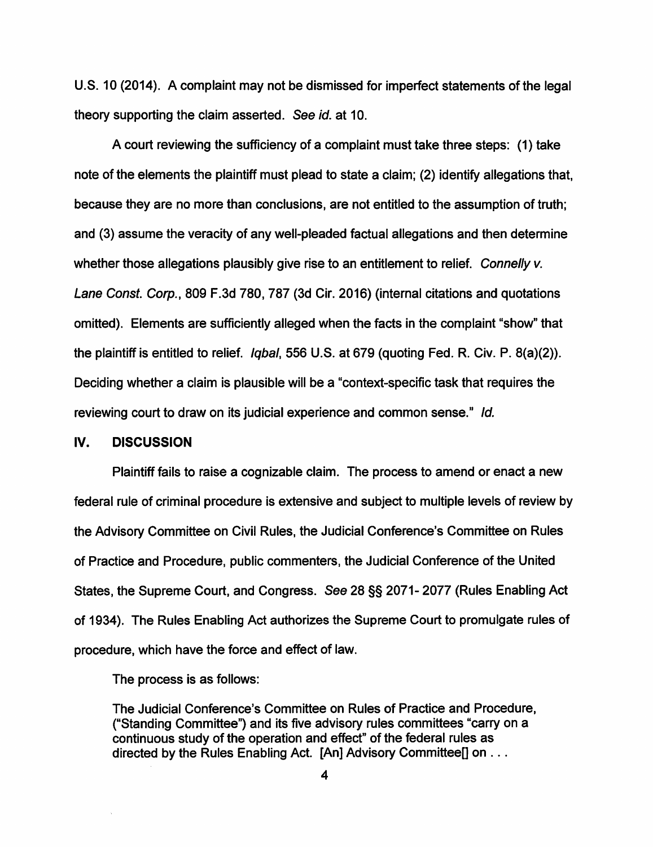U.S. 10 (2014). A complaint may not be dismissed for imperfect statements of the legal theory supporting the claim asserted. See id. at 10.

A court reviewing the sufficiency of a complaint must take three steps: (1) take note of the elements the plaintiff must plead to state a claim; (2) identify allegations that, because they are no more than conclusions, are not entitled to the assumption of truth; and (3) assume the veracity of any well-pleaded factual allegations and then determine whether those allegations plausibly give rise to an entitlement to relief. Connelly v. Lane Const. Corp., 809 F.3d 780, 787 (3d Cir. 2016) (internal citations and quotations omitted). Elements are sufficiently alleged when the facts in the complaint "show" that the plaintiff is entitled to relief. Iqbal, 556 U.S. at 679 (quoting Fed. R. Civ. P. 8(a)(2)). Deciding whether a claim is plausible will be a "context-specific task that requires the reviewing court to draw on its judicial experience and common sense." Id.

#### **IV. DISCUSSION**

Plaintiff fails to raise a cognizable claim. The process to amend or enact a new federal rule of criminal procedure is extensive and subject to multiple levels of review by the Advisory Committee on Civil Rules, the Judicial Conference's Committee on Rules of Practice and Procedure, public commenters, the Judicial Conference of the United States, the Supreme Court, and Congress. See 28 §§ 2071- 2077 (Rules Enabling Act of 1934). The Rules Enabling Act authorizes the Supreme Court to promulgate rules of procedure, which have the force and effect of law.

The process is as follows:

The Judicial Conference's Committee on Rules of Practice and Procedure, ("Standing Committee") and its five advisory rules committees "carry on a continuous study of the operation and effect" of the federal rules as directed by the Rules Enabling Act. [An] Advisory Committee[] on . . .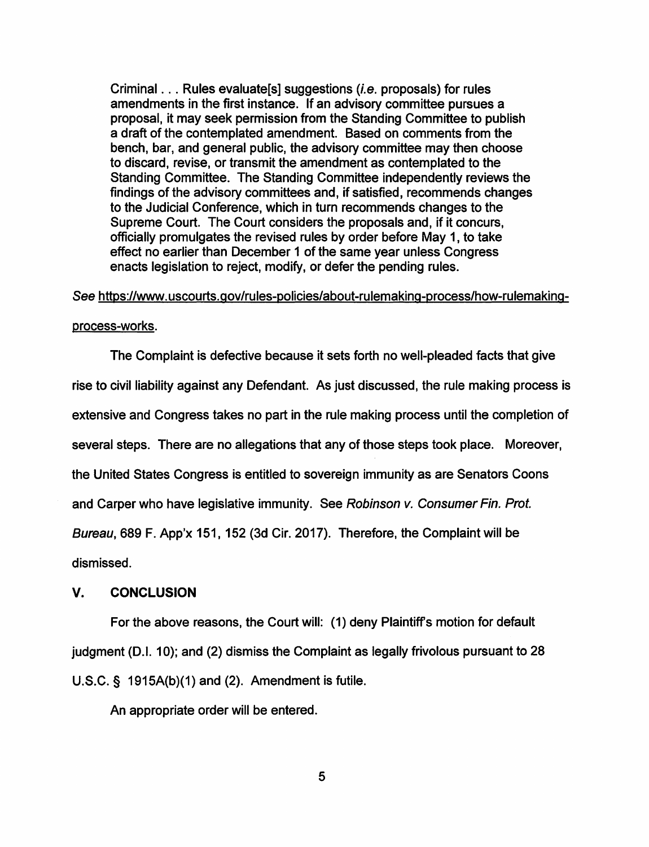Criminal ... Rules evaluate[s] suggestions (i.e. proposals) for rules amendments in the first instance. If an advisory committee pursues a proposal, it may seek permission from the Standing Committee to publish a draft of the contemplated amendment. Based on comments from the bench, bar, and general public, the advisory committee may then choose to discard, revise, or transmit the amendment as contemplated to the Standing Committee. The Standing Committee independently reviews the findings of the advisory committees and, if satisfied, recommends changes to the Judicial Conference, which in turn recommends changes to the Supreme Court. The Court considers the proposals and, if it concurs, officially promulgates the revised rules by order before May 1, to take effect no earlier than December 1 of the same year unless Congress enacts legislation to reject, modify, or defer the pending rules.

See https://www.uscourts.gov/rules-policies/about-rulemaking-process/how-rulemaking-

#### process-works.

The Complaint is defective because it sets forth no well-pleaded facts that give rise to civil liability against any Defendant. As just discussed, the rule making process is extensive and Congress takes no part in the rule making process until the completion of several steps. There are no allegations that any of those steps took place. Moreover, the United States Congress is entitled to sovereign immunity as are Senators Coons and Carper who have legislative immunity. See Robinson v. Consumer Fin. Prof. Bureau, 689 F. App'x 151, 152 (3d Cir. 2017). Therefore, the Complaint will be dismissed.

## **V. CONCLUSION**

For the above reasons, the Court will: (1) deny Plaintiff's motion for default judgment (D.I. 10); and (2) dismiss the Complaint as legally frivolous pursuant to 28 U.S.C. § 1915A(b)(1) and (2). Amendment is futile.

An appropriate order will be entered.

5